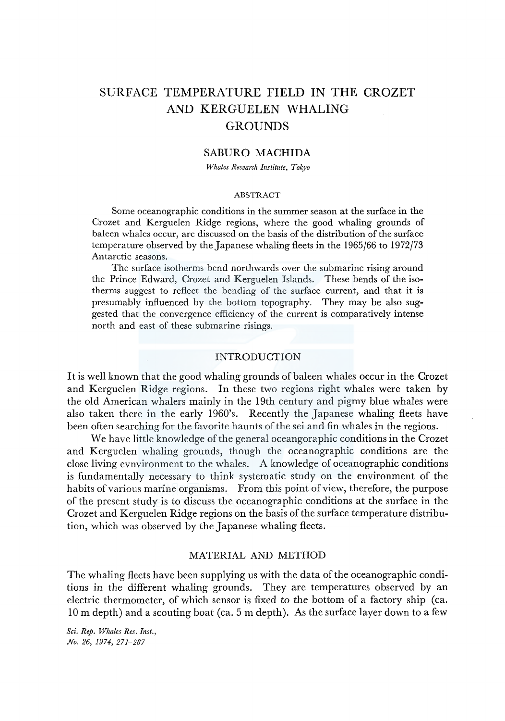# SURFACE TEMPERATURE FIELD IN THE CROZET AND KERGUELEN WHALING **GROUNDS**

# SABURO MACHIDA

*Whales Research Institute, Tokyo* 

#### ABSTRACT

Some oceanographic conditions in the summer season at the surface in the Crozet and Kerguelen Ridge regions, where the good whaling grounds of baleen whales occur, are discussed on the basis of the distribution of the surface temperature observed by the Japanese whaling fleets in the 1965/66 to 1972/73 Antarctic seasons.

The surface isotherms bend northwards over the submarine rising around the Prince Edward, Crozet and Kerguelen Islands. These bends of the isotherms suggest to reflect the bending of the surface current, and that it is presumably influenced by the bottom topography. They may be also suggested that the convergence efficiency of the current is comparatively intense north and east of these submarine risings.

# INTRODUCTION

It is well known that the good whaling grounds of baleen whales occur in the Crozet and Kerguelen Ridge regions. In these two regions right whales were taken by the old American whalers mainly in the 19th century and pigmy blue whales were also taken there in the early 1960's. Recently the Japanese whaling fleets have been often searching for the favorite haunts of the sei and fin whales in the regions.

We have little knowledge of the general oceangoraphic conditions in the Crozet and Kerguelen whaling grounds, though the oceanographic conditions are the close living evnvironment to the whales. A knowledge of oceanographic conditions is fundamentally necessary to think systematic study on the environment of the habits of various marine organisms. From this point of view, therefore, the purpose of the present study is to discuss the oceanographic conditions at the surface in the Crozet and Kerguelen Ridge regions on the basis of the surface temperature distribution, which was observed by the Japanese whaling fleets.

# MATERIAL AND METHOD

The whaling fleets have been supplying us with the data of the oceanographic conditions in the different whaling grounds. They are temperatures observed by an electric thermometer, of which sensor is fixed to the bottom of a factory ship (ea. 10 m depth) and a scouting boat (ea. 5 m depth). As the surface layer down to a few

*Sci. Rep. Whales Res. Inst., No. 26, 1974, 271-287*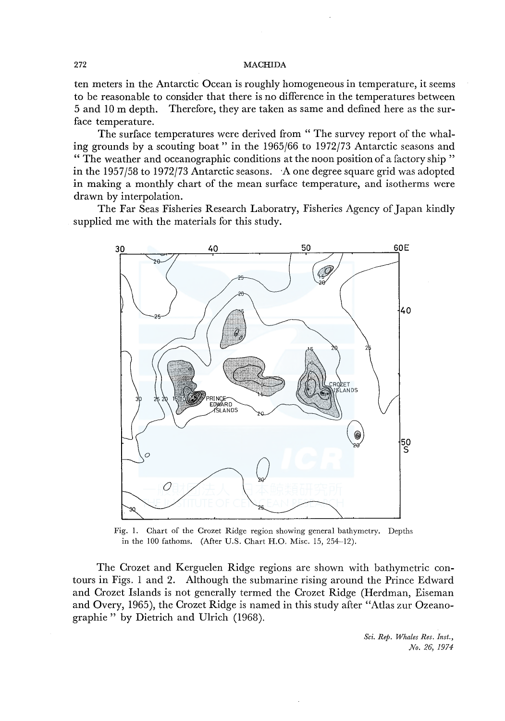ten meters in the Antarctic Ocean is roughly homogeneous in temperature, it seems to be reasonable to consider that there is no difference in the temperatures between 5 and 10 m depth. Therefore, they are taken as same and defined here as the surface temperature.

The surface temperatures were derived from " The survey report of the whaling grounds by a scouting boat" in the 1965/66 to 1972/73 Antarctic seasons and " The weather and oceanographic conditions at the noon position of a factory ship " in the 1957/58 to 1972/73 Antarctic seasons. A one degree square grid was adopted in making a monthly chart of the mean surface temperature, and isotherms were drawn by interpolation.

The Far Seas Fisheries Research Laboratry, Fisheries Agency of Japan kindly supplied me with the materials for this study.



Fig. I. Chart of the Crozet Ridge region showing general bathymetry. Depths in the 100 fathoms. (After U.S. Chart H.O. Misc. 15, 254-12).

The Crozet and Kerguelen Ridge regions are shown with bathymetric contours in Figs. 1 and 2. Although the submarine rising around the Prince Edward and Crozet Islands is not generally termed the Crozet Ridge (Herdman, Eiseman and Overy, 1965 ), the Crozet Ridge is named in this study after "Atlas zur Ozeanographie" by Dietrich and Ulrich (1968).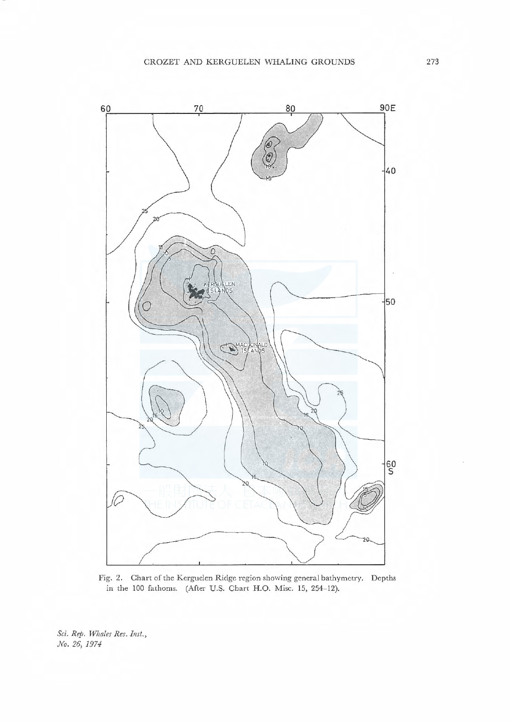

Fig. 2. Chart of the Kerguelen Ridge region showing general bathymetry. Depths in the JOO fathoms. (After U.S. Chart H.O. Misc. 15, 254-12).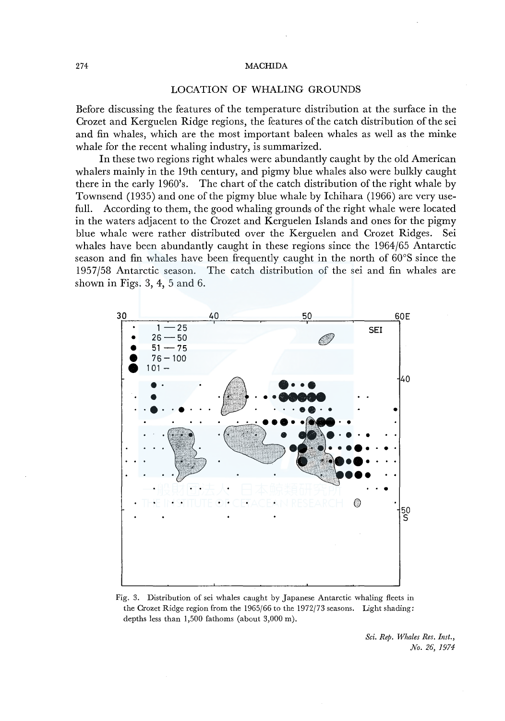#### LOCATION OF WHALING GROUNDS

Before discussing the features of the temperature distribution at the surface in the Crozet and Kerguelen Ridge regions, the features of the catch distribution of the sei and fin whales, which are the most important baleen whales as well as the minke whale for the recent whaling industry, is summarized.

In these two regions right whales were abundantly caught by the old American whalers mainly in the 19th century, and pigmy blue whales also were bulkly caught there in the early 1960's. The chart of the catch distribution of the right whale by Townsend (1935) and one of the pigmy blue whale by Ichihara (1966) are very usefull. According to them, the good whaling grounds of the right whale were located in the waters adjacent to the Crozet and Kerguelen Islands and ones for the pigmy blue whale were rather distributed over the Kerguelen and Crozet Ridges. Sei whales have been abundantly caught in these regions since the 1964/65 Antarctic season and fin whales have been frequently caught in the north of 60°S since the 1957/58 Antarctic season. The catch distribution of the sei and fin whales are shown in Figs. 3, 4, 5 and 6.



Fig. 3. Distribution of sei whales caught by Japanese Antarctic whaling fleets in the Crozet Ridge region from the 1965/66 to the 1972/73 seasons. Light shading: depths less than 1,500 fathoms (about 3,000 m).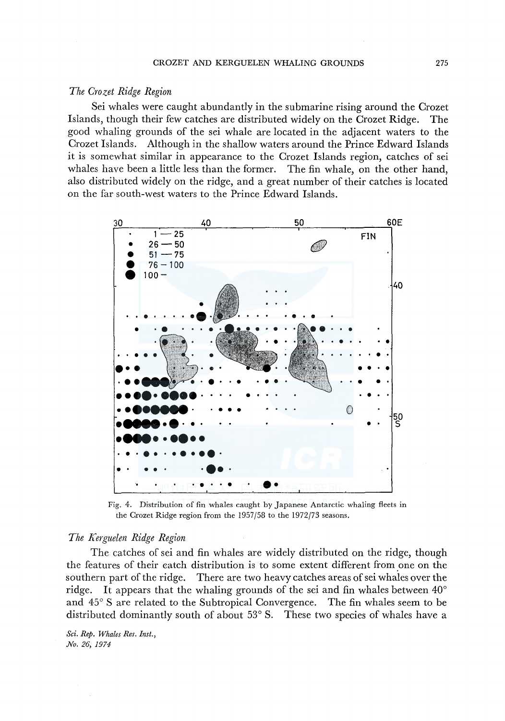## *The Crozet Ridge Region*

Sei whales were caught abundantly in the submarine rising around the Crozet Islands, though their few catches are distributed widely on the Crozet Ridge. The good whaling grounds of the sei whale are located in the adjacent waters to the Crozet Islands. Although in the shallow waters around the Prince Edward Islands it is somewhat similar in appearance to the Crozet Islands region, catches of sei whales have been a little less than the former. The fin whale, on the other hand, also distributed widely on the ridge, and a great number of their catches is located on the far south-west waters to the Prince Edward Islands.



Fig. 4. Distribution of fin whales caught by Japanese Antarctic whaling fleets in the Crozet Ridge region from the 1957/58 to the 1972/73 seasons.

#### *The Kerguelen Ridge Region*

The catches of sei and fin whales are widely distributed on the ridge, though the features of their eatch distribution is to some extent different from one on the southern part of the ridge. There are two heavy catches areas of sei whales over the ridge. It appears that the whaling grounds of the sei and fin whales between 40° and 45° S are related to the Subtropical Convergence. The fin whales seem to be distributed dominantly south of about 53° S. These two species of whales have a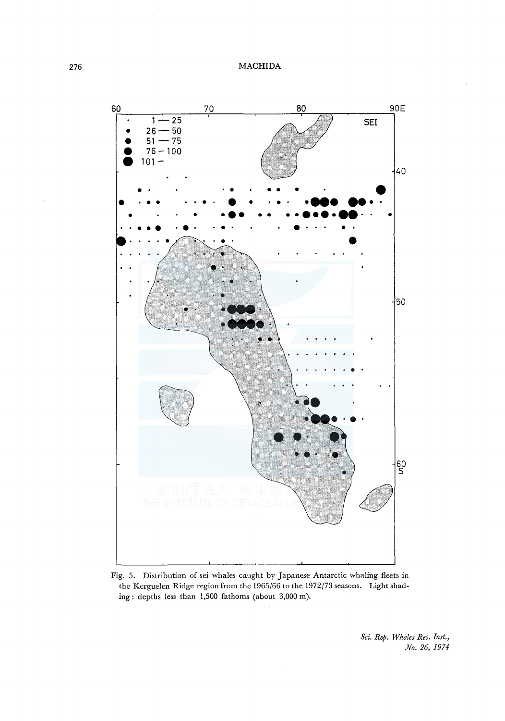

Fig. 5. Distribution of sei whales caught by Japanese Antarctic whaling fleets in the Kerguelen Ridge region from the 1965/66 to the 1972/73 seasons. Light shading: depths less than 1,500 fathoms (about 3,000 m).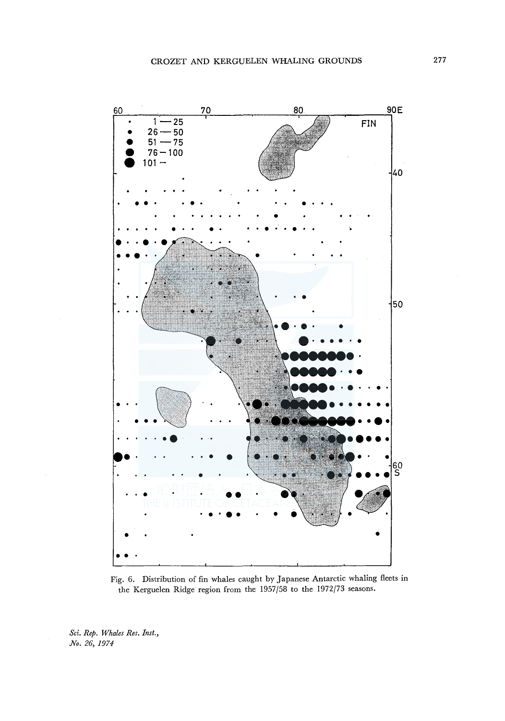

Fig. 6. Distribution of fin whales caught by Japanese Antarctic whaling fleets in the Kerguelen Ridge region from the 1957/58 to the 1972/73 seasons.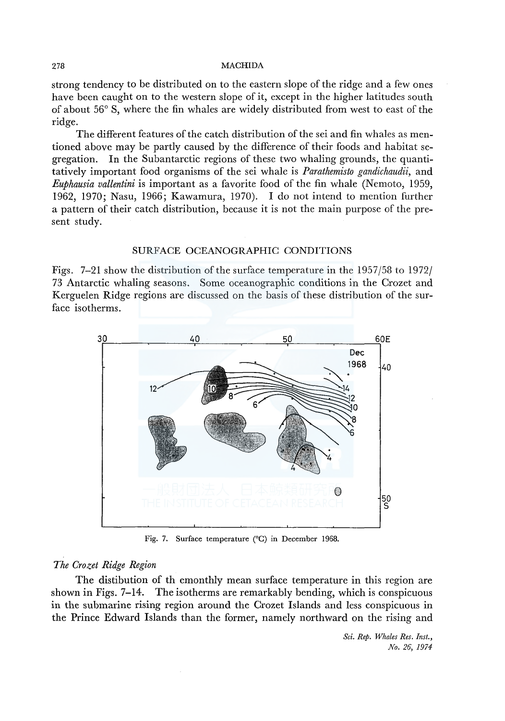strong tendency to be distributed on to the eastern slope of the ridge and a few ones have been caught on to the western slope of it, except in the higher latitudes south of about 56° S, where the fin whales are widely distributed from west to east of the ridge.

The different features of the catch distribution of the sei and fin whales as mentioned above may be partly caused by the difference of their foods and habitat segregation. In the Subantarctic regions of these two whaling grounds, the quantitatively important food organisms of the sei whale is *Parathemisto gandichaudii,* and *Euphausia vallentini* is important as a favorite food of the fin whale (Nemoto, 1959, 1962, 1970; Nasu, 1966; Kawamura, 1970). I do not intend to mention further a pattern of their catch distribution, because it is not the main purpose of the present study.

## SURFACE OCEANOGRAPHIC CONDITIONS

Figs. 7-21 show the distribution of the surface temperature in the 1957/58 to 1972/ 73 Antarctic whaling seasons. Some oceanographic conditions in the Crozet and Kerguelen Ridge regions are discussed on the basis of these distribution of the surface isotherms.



Fig. 7. Surface temperature (°C) in December 1968.

# *The Crozet Ridge Region*

The distibution of th emonthly mean surface temperature in this region are shown in Figs. 7-14. The isotherms are remarkably bending, which is conspicuous in the submarine rising region around the Crozet Islands and less conspicuous in the Prince Edward Islands than the former, namely northward on the rising and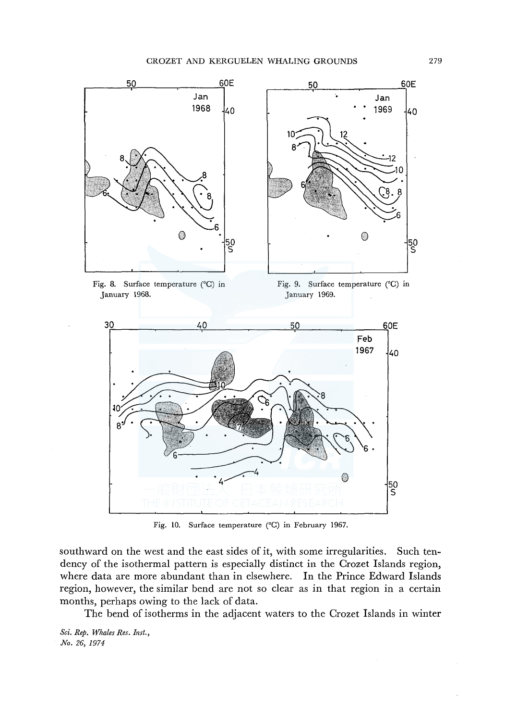

Fig. 8. Surface temperature (°C) in January 1968.

Fig. 9. Surface temperature (°C) in January 1969.



Fig. 10. Surface temperature (°C) in February 1967.

southward on the west and the east sides of it, with some irregularities. Such tendency of the isothermal pattern is especially distinct in the Crozet Islands region, where data are more abundant than in elsewhere. In the Prince Edward Islands region, however, the similar bend are not so clear as in that region in a certain months, perhaps owing to the lack of data.

The bend of isotherms in the adjacent waters to the Crozet Islands in winter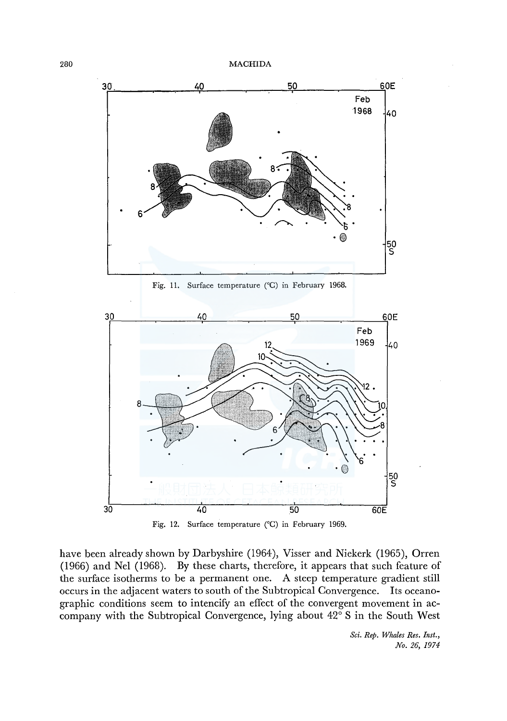



have been already shown by Darbyshire (1964), Visser and Niekerk (1965), Orren (1966) and Nel (1968). By these charts, therefore, it appears that such feature of the surface isotherms to be a permanent one. A steep temperature gradient still occurs in the adjacent waters to south of the Subtropical Convergence. Its oceanographic conditions seem to intencify an effect of the convergent movement in accompany with the Subtropical Convergence, lying about 42° S in the South West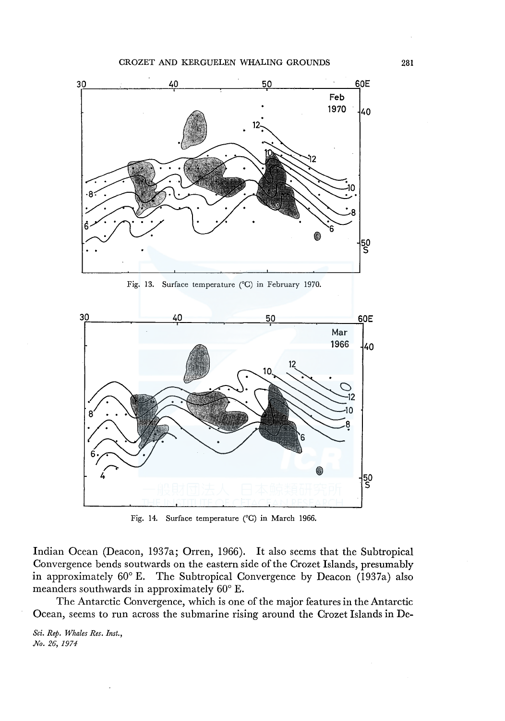

Fig. 13. Surface temperature ( 0 C) in February 1970.



Fig. 14. Surface temperature (°C) in March 1966.

Indian Ocean (Deacon, 1937a; Orren, 1966). It also seems that the Subtropical Convergence bends soutwards on the eastern side of the Crozet Islands, presumably in approximately 60° E. The Subtropical Convergence by Deacon (1937a) also meanders southwards in approximately 60° E.

The Antarctic Convergence, which is one of the major features in the Antarctic Ocean, seems to run across the submarine rising around the Crozet Islands in De-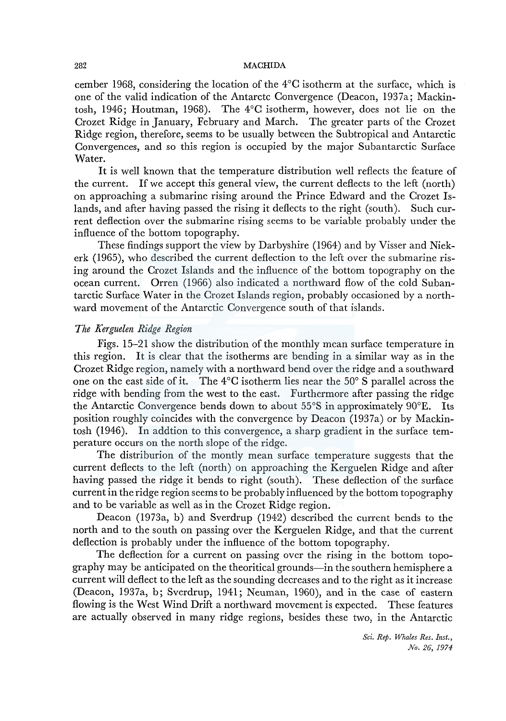cember 1968, considering the location of the 4°C isotherm at the surface, which is one of the valid indication of the Antarctc Convergence (Deacon, 1937a; Mackintosh, 1946; Houtman, 1968). The 4°C isotherm, however, does not lie on the Crozet Ridge in January, February and March. The greater parts of the Crozet Ridge region, therefore, seems to be usually between the Subtropical and Antarctic Convergences, and so this region is occupied by the major Subantarctic Surface Water.

It is well known that the temperature distribution well reflects the feature of the current. If we accept this general view, the current deflects to the left (north) on approaching a submarine rising around the Prince Edward and the Crozet Islands, and after having passed the rising it deflects to the right (south). Such current deflection over the submarine rising seems to be variable probably under the influence of the bottom topography.

These findings support the view by Darbyshire (1964) and by Visser and Niekerk (1965), who described the current deflection to the left over the submarine rising around the Crozet Islands and the influence of the bottom topography on the ocean current. Orren (1966) also indicated a northward flow of the cold Subantarctic Surface Water in the Crozet Islands region, probably occasioned by a northward movement of the Antarctic Convergence south of that islands.

# *The Kerguelen Ridge Region*

Figs. 15-21 show the distribution of the monthly mean surface temperature in this region. It is clear that the isotherms are bending in a similar way as in the Crozet Ridge region, namely with a northward bend over the ridge and a southward one on the east side of it. The 4°C isotherm lies near the 50° S parallel across the ridge with bending from the west to the east. Furthermore after passing the ridge the Antarctic Convergence bends down to about 55°S in approximately 90°E. Its position roughly coincides with the convergence by Deacon (1937a) or by Mackintosh (1946). In addtion to this convergence, a sharp gradient in the surface temperature occurs on the north slope of the ridge.

The distriburion of the montly mean surface temperature suggests that the current deflects to the left (north) on approaching the Kerguelen Ridge and after having passed the ridge it bends to right (south). These deflection of the surface current in the ridge region seems to be probably influenced by the bottom topography and to be variable as well as in the Crozet Ridge region.

Deacon (1973a, b) and Sverdrup (1942) described the current bends to the north and to the south on passing over the Kerguelen Ridge, and that the current deflection is probably under the influence of the bottom topography.

The deflection for a current on passing over the rising in the bottom topography may be anticipated on the theoritical grounds-in the southern hemisphere a current will deflect to the left as the sounding decreases and to the right as it increase (Deacon, 1937a, b; Sverdrup, 1941; Neuman, 1960), and in the case of eastern flowing is the West Wind Drift a northward movement is expected. These features are actually observed in many ridge regions, besides these two, in the Antarctic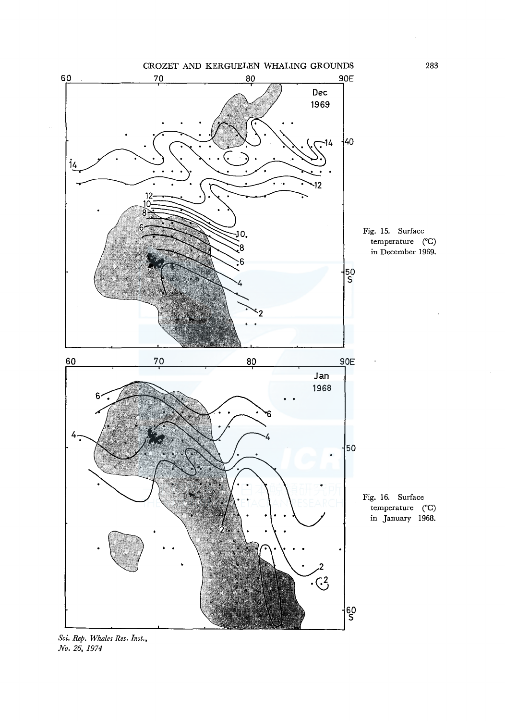

*Sci. Rep. Whales Res. Inst., No. 26, 1974* 

283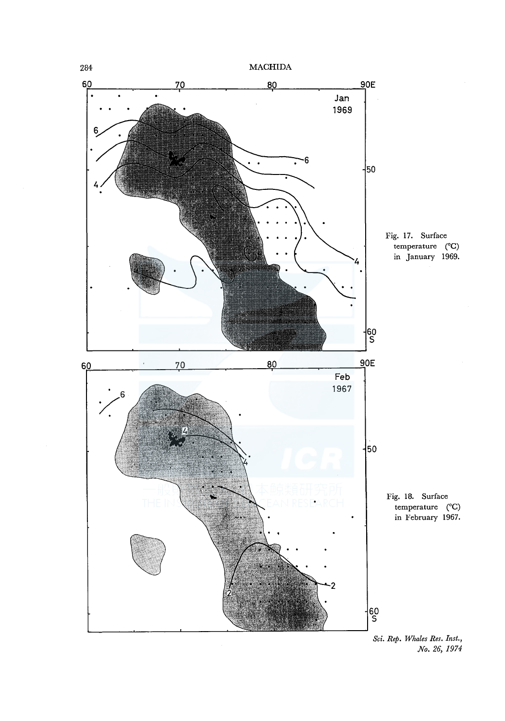

*Sci. Rep. Whales Res. Inst., No. 26, 1974*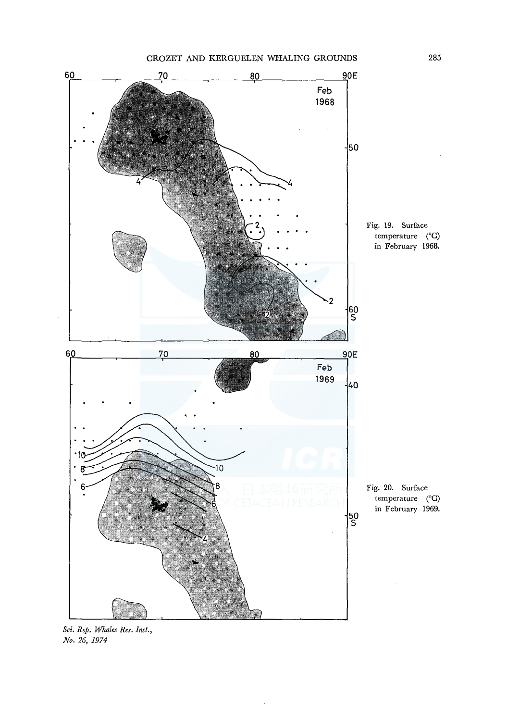

*Sci. Rep. Whales Res. Inst., No. 26, 1974*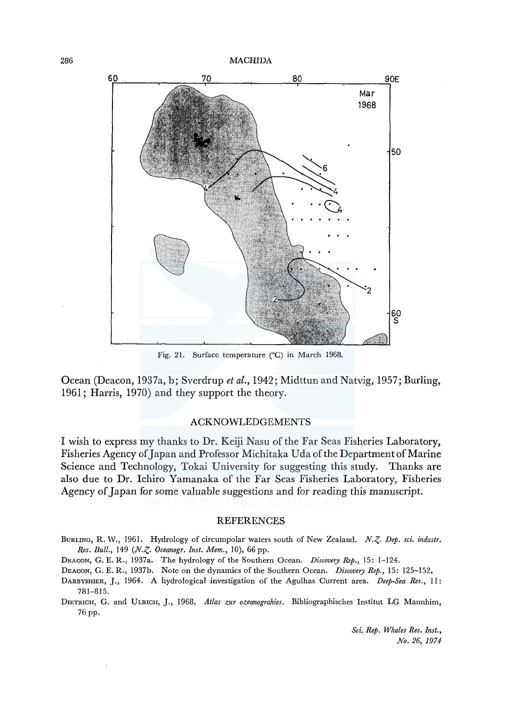

Fig. 21. Surface temperature (°C) in March 1968.

Ocean (Deacon, 1937a, b; Sverdrup *et al.,* 1942; Midttun and Natvig, 1957; Burling, 1961; Harris, 1970) and they support the theory.

# ACKNOWLEDGEMENTS

I wish to express my thanks to Dr. Keiji Nasu of the Far Seas Fisheries Laboratory, Fisheries Agency of Japan and Professor Michitaka Uda of the Department of Marine Science and Technology, Tokai University for suggesting this study. Thanks are also due to Dr. Ichiro Yamanaka of the Far Seas Fisheries Laboratory, Fisheries Agency of Japan for some valuable suggestions and for reading this manuscript.

#### **REFERENCES**

BURLING, R. W., 1961. Hydrology of circumpolar waters south of New Zealand. N.Z. Dep. sci. industr. *Res. Bull., 149 (N.Z. Oceanogr. Inst. Mem., 10), 66 pp.* 

DEACON, G. E. R., 1937a. The hydrology of the Southern Ocean. *Discovery Rep.,* 15: 1-124.

DEACON, G. E. R., 1937b. Note on the dynamics of the Southern Ocean. *Discovery Rep.,* 15: 125-152.

- DARBYSHIER, *].,* 1964. A hydrological investigation of the Agulhas Current area. *Deep-Sea Res.,* 11: 781-815.
- DIETRICH, G. and ULRICH, J., 1968. *Atlas zur ozeanograhies.* Bibliographisches lnstitut LG Mannhim, 76 pp.